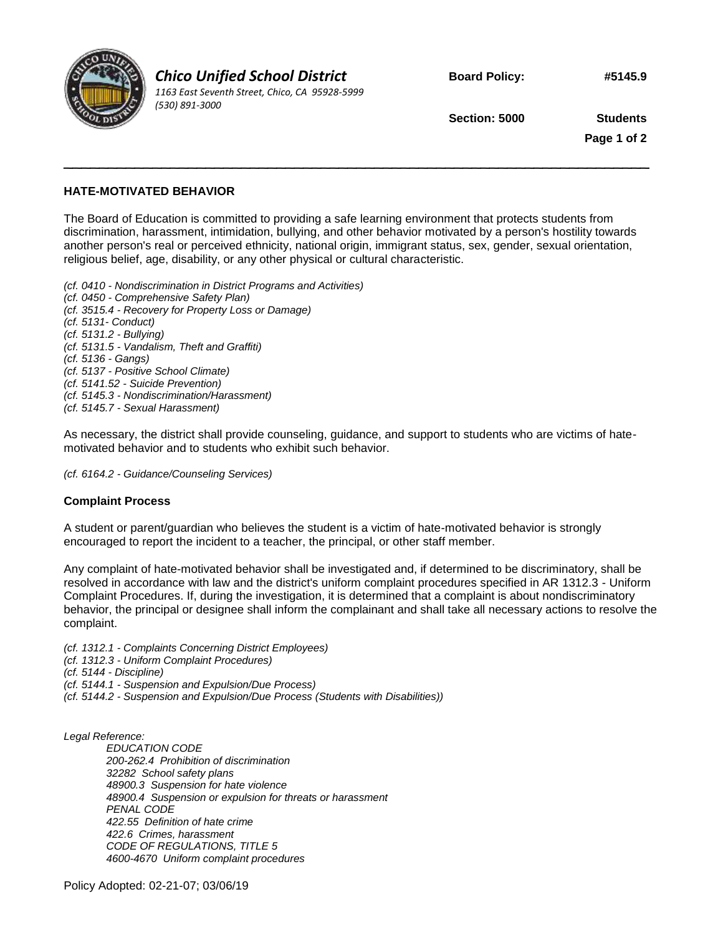

*Chico Unified School District 1163 East Seventh Street, Chico, CA 95928-5999 (530) 891-3000*

**Board Policy: #5145.9**

**Section: 5000 Students**

**Page 1 of 2**

## **HATE-MOTIVATED BEHAVIOR**

The Board of Education is committed to providing a safe learning environment that protects students from discrimination, harassment, intimidation, bullying, and other behavior motivated by a person's hostility towards another person's real or perceived ethnicity, national origin, immigrant status, sex, gender, sexual orientation, religious belief, age, disability, or any other physical or cultural characteristic.

 $\sim$  . The contract of the contract of the contract of the contract of the contract of the contract of the contract of

*(cf. 0410 - Nondiscrimination in District Programs and Activities) (cf. 0450 - Comprehensive Safety Plan) (cf. 3515.4 - Recovery for Property Loss or Damage) (cf. 5131- Conduct) (cf. 5131.2 - Bullying) (cf. 5131.5 - Vandalism, Theft and Graffiti) (cf. 5136 - Gangs) (cf. 5137 - Positive School Climate) (cf. 5141.52 - Suicide Prevention) (cf. 5145.3 - Nondiscrimination/Harassment) (cf. 5145.7 - Sexual Harassment)*

As necessary, the district shall provide counseling, guidance, and support to students who are victims of hatemotivated behavior and to students who exhibit such behavior.

*(cf. 6164.2 - Guidance/Counseling Services)*

## **Complaint Process**

A student or parent/guardian who believes the student is a victim of hate-motivated behavior is strongly encouraged to report the incident to a teacher, the principal, or other staff member.

Any complaint of hate-motivated behavior shall be investigated and, if determined to be discriminatory, shall be resolved in accordance with law and the district's uniform complaint procedures specified in AR 1312.3 - Uniform Complaint Procedures. If, during the investigation, it is determined that a complaint is about nondiscriminatory behavior, the principal or designee shall inform the complainant and shall take all necessary actions to resolve the complaint.

- *(cf. 1312.1 - Complaints Concerning District Employees)*
- *(cf. 1312.3 - Uniform Complaint Procedures)*
- *(cf. 5144 - Discipline)*
- *(cf. 5144.1 - Suspension and Expulsion/Due Process)*
- *(cf. 5144.2 - Suspension and Expulsion/Due Process (Students with Disabilities))*

*Legal Reference:*

*EDUCATION CODE 200-262.4 Prohibition of discrimination 32282 School safety plans 48900.3 Suspension for hate violence 48900.4 Suspension or expulsion for threats or harassment PENAL CODE 422.55 Definition of hate crime 422.6 Crimes, harassment CODE OF REGULATIONS, TITLE 5 4600-4670 Uniform complaint procedures*